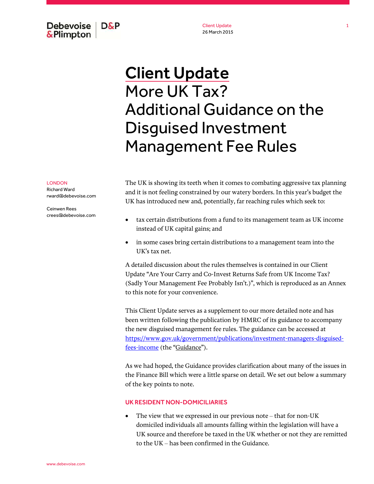Debevoise  $D\&P$ & Plimpton

Client Update 26 March 2015

# Client Update More UK Tax? Additional Guidance on the Disguised Investment Management Fee Rules

LONDON

Richard Ward rward@debevoise.com

Ceinwen Rees crees@debevoise.com The UK is showing its teeth when it comes to combating aggressive tax planning and it is not feeling constrained by our watery borders. In this year's budget the UK has introduced new and, potentially, far reaching rules which seek to:

- tax certain distributions from a fund to its management team as UK income instead of UK capital gains; and
- in some cases bring certain distributions to a management team into the UK's tax net.

A detailed discussion about the rules themselves is contained in our Client Update "Are Your Carry and Co-Invest Returns Safe from UK Income Tax? (Sadly Your Management Fee Probably Isn't.)", which is reproduced as an Annex to this note for your convenience.

This Client Update serves as a supplement to our more detailed note and has been written following the publication by HMRC of its guidance to accompany the new disguised management fee rules. The guidance can be accessed at [https://www.gov.uk/government/publications/investment-managers-disguised](https://www.gov.uk/government/publications/investment-managers-disguised-fees-income)fees-income (the "Guidance").

As we had hoped, the Guidance provides clarification about many of the issues in the Finance Bill which were a little sparse on detail. We set out below a summary of the key points to note.

#### UK RESIDENT NON-DOMICILIARIES

• The view that we expressed in our previous note – that for non-UK domiciled individuals all amounts falling within the legislation will have a UK source and therefore be taxed in the UK whether or not they are remitted to the UK – has been confirmed in the Guidance.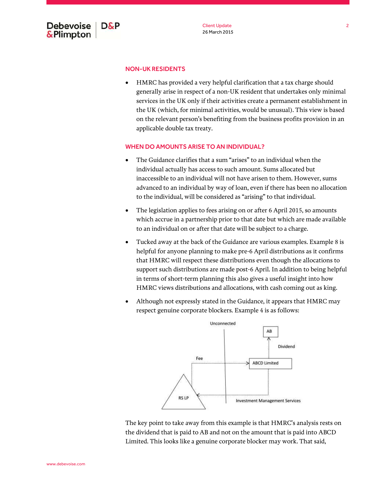

## NON-UK RESIDENTS

 HMRC has provided a very helpful clarification that a tax charge should generally arise in respect of a non-UK resident that undertakes only minimal services in the UK only if their activities create a permanent establishment in the UK (which, for minimal activities, would be unusual). This view is based on the relevant person's benefiting from the business profits provision in an applicable double tax treaty.

#### WHEN DO AMOUNTS ARISE TO AN INDIVIDUAL?

- The Guidance clarifies that a sum "arises" to an individual when the individual actually has access to such amount. Sums allocated but inaccessible to an individual will not have arisen to them. However, sums advanced to an individual by way of loan, even if there has been no allocation to the individual, will be considered as "arising" to that individual.
- The legislation applies to fees arising on or after 6 April 2015, so amounts which accrue in a partnership prior to that date but which are made available to an individual on or after that date will be subject to a charge.
- Tucked away at the back of the Guidance are various examples. Example 8 is helpful for anyone planning to make pre-6 April distributions as it confirms that HMRC will respect these distributions even though the allocations to support such distributions are made post-6 April. In addition to being helpful in terms of short-term planning this also gives a useful insight into how HMRC views distributions and allocations, with cash coming out as king.
- Although not expressly stated in the Guidance, it appears that HMRC may respect genuine corporate blockers. Example 4 is as follows:



The key point to take away from this example is that HMRC's analysis rests on the dividend that is paid to AB and not on the amount that is paid into ABCD Limited. This looks like a genuine corporate blocker may work. That said,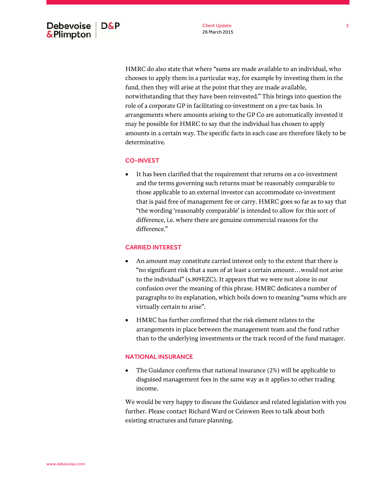HMRC do also state that where "sums are made available to an individual, who chooses to apply them in a particular way, for example by investing them in the fund, then they will arise at the point that they are made available, notwithstanding that they have been reinvested." This brings into question the role of a corporate GP in facilitating co-investment on a pre-tax basis. In arrangements where amounts arising to the GP Co are automatically invested it may be possible for HMRC to say that the individual has chosen to apply amounts in a certain way. The specific facts in each case are therefore likely to be determinative.

## CO-INVEST

 It has been clarified that the requirement that returns on a co-investment and the terms governing such returns must be reasonably comparable to those applicable to an external investor can accommodate co-investment that is paid free of management fee or carry. HMRC goes so far as to say that "the wording 'reasonably comparable' is intended to allow for this sort of difference, i.e. where there are genuine commercial reasons for the difference."

## CARRIED INTEREST

- An amount may constitute carried interest only to the extent that there is "no significant risk that a sum of at least a certain amount…would not arise to the individual" (s.809EZC). It appears that we were not alone in our confusion over the meaning of this phrase. HMRC dedicates a number of paragraphs to its explanation, which boils down to meaning "sums which are virtually certain to arise".
- HMRC has further confirmed that the risk element relates to the arrangements in place between the management team and the fund rather than to the underlying investments or the track record of the fund manager.

## NATIONAL INSURANCE

 The Guidance confirms that national insurance (2%) will be applicable to disguised management fees in the same way as it applies to other trading income.

We would be very happy to discuss the Guidance and related legislation with you further. Please contact Richard Ward or Ceinwen Rees to talk about both existing structures and future planning.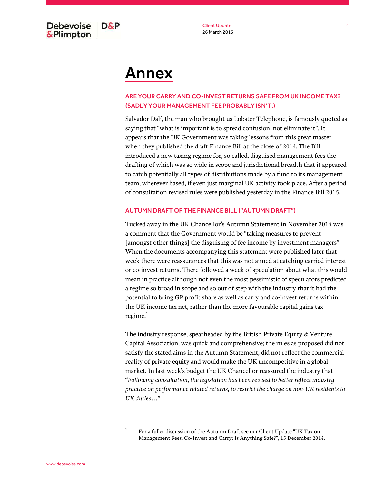**Debevoise** D&P & Plimpton

Client Update 26 March 2015

## Annex

## ARE YOUR CARRY AND CO-INVEST RETURNS SAFE FROM UK INCOME TAX? (SADLY YOUR MANAGEMENT FEE PROBABLY ISN'T.)

Salvador Dalí, the man who brought us Lobster Telephone, is famously quoted as saying that "what is important is to spread confusion, not eliminate it". It appears that the UK Government was taking lessons from this great master when they published the draft Finance Bill at the close of 2014. The Bill introduced a new taxing regime for, so called, disguised management fees the drafting of which was so wide in scope and jurisdictional breadth that it appeared to catch potentially all types of distributions made by a fund to its management team, wherever based, if even just marginal UK activity took place. After a period of consultation revised rules were published yesterday in the Finance Bill 2015.

#### AUTUMN DRAFT OF THE FINANCE BILL ("AUTUMN DRAFT")

Tucked away in the UK Chancellor's Autumn Statement in November 2014 was a comment that the Government would be "taking measures to prevent [amongst other things] the disguising of fee income by investment managers". When the documents accompanying this statement were published later that week there were reassurances that this was not aimed at catching carried interest or co-invest returns. There followed a week of speculation about what this would mean in practice although not even the most pessimistic of speculators predicted a regime so broad in scope and so out of step with the industry that it had the potential to bring GP profit share as well as carry and co-invest returns within the UK income tax net, rather than the more favourable capital gains tax regime. $1$ 

The industry response, spearheaded by the British Private Equity & Venture Capital Association, was quick and comprehensive; the rules as proposed did not satisfy the stated aims in the Autumn Statement, did not reflect the commercial reality of private equity and would make the UK uncompetitive in a global market. In last week's budget the UK Chancellor reassured the industry that "*Following consultation, the legislation has been revised to better reflect industry practice on performance related returns, to restrict the charge on non-UK residents to UK duties…*".

1

For a fuller discussion of the Autumn Draft see our Client Update "UK Tax on Management Fees, Co-Invest and Carry: Is Anything Safe?", 15 December 2014.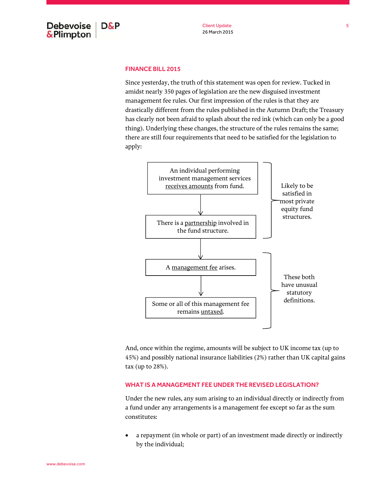## FINANCE BILL 2015

Since yesterday, the truth of this statement was open for review. Tucked in amidst nearly 350 pages of legislation are the new disguised investment management fee rules. Our first impression of the rules is that they are drastically different from the rules published in the Autumn Draft; the Treasury has clearly not been afraid to splash about the red ink (which can only be a good thing). Underlying these changes, the structure of the rules remains the same; there are still four requirements that need to be satisfied for the legislation to apply:



And, once within the regime, amounts will be subject to UK income tax (up to 45%) and possibly national insurance liabilities (2%) rather than UK capital gains tax (up to 28%).

## WHAT IS A MANAGEMENT FEE UNDER THE REVISED LEGISLATION?

Under the new rules, any sum arising to an individual directly or indirectly from a fund under any arrangements is a management fee except so far as the sum constitutes:

 a repayment (in whole or part) of an investment made directly or indirectly by the individual;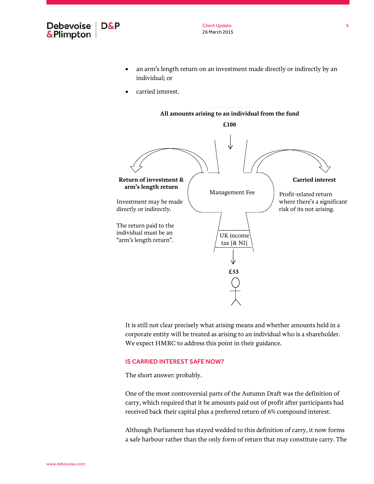

Client Update 26 March 2015

- an arm's length return on an investment made directly or indirectly by an individual; or
- carried interest.



It is still not clear precisely what arising means and whether amounts held in a corporate entity will be treated as arising to an individual who is a shareholder. We expect HMRC to address this point in their guidance.

#### IS CARRIED INTEREST SAFE NOW?

The short answer: probably.

One of the most controversial parts of the Autumn Draft was the definition of carry, which required that it be amounts paid out of profit after participants had received back their capital plus a preferred return of 6% compound interest.

Although Parliament has stayed wedded to this definition of carry, it now forms a safe harbour rather than the only form of return that may constitute carry. The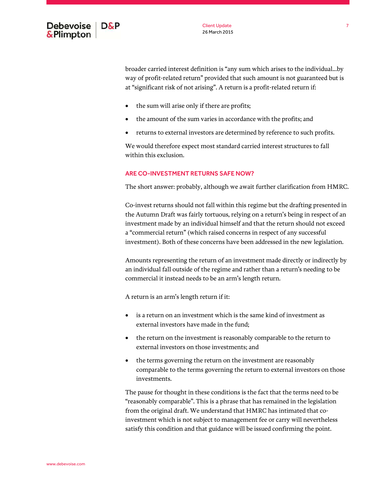

broader carried interest definition is "any sum which arises to the individual...by way of profit-related return" provided that such amount is not guaranteed but is at "significant risk of not arising". A return is a profit-related return if:

- the sum will arise only if there are profits;
- the amount of the sum varies in accordance with the profits; and
- returns to external investors are determined by reference to such profits.

We would therefore expect most standard carried interest structures to fall within this exclusion.

## ARE CO-INVESTMENT RETURNS SAFE NOW?

The short answer: probably, although we await further clarification from HMRC.

Co-invest returns should not fall within this regime but the drafting presented in the Autumn Draft was fairly tortuous, relying on a return's being in respect of an investment made by an individual himself and that the return should not exceed a "commercial return" (which raised concerns in respect of any successful investment). Both of these concerns have been addressed in the new legislation.

Amounts representing the return of an investment made directly or indirectly by an individual fall outside of the regime and rather than a return's needing to be commercial it instead needs to be an arm's length return.

A return is an arm's length return if it:

- is a return on an investment which is the same kind of investment as external investors have made in the fund;
- the return on the investment is reasonably comparable to the return to external investors on those investments; and
- the terms governing the return on the investment are reasonably comparable to the terms governing the return to external investors on those investments.

The pause for thought in these conditions is the fact that the terms need to be "reasonably comparable". This is a phrase that has remained in the legislation from the original draft. We understand that HMRC has intimated that coinvestment which is not subject to management fee or carry will nevertheless satisfy this condition and that guidance will be issued confirming the point.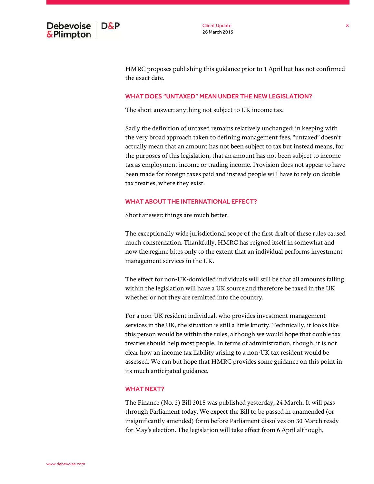

HMRC proposes publishing this guidance prior to 1 April but has not confirmed the exact date.

#### WHAT DOES "UNTAXED" MEAN UNDER THE NEW LEGISLATION?

The short answer: anything not subject to UK income tax.

Sadly the definition of untaxed remains relatively unchanged; in keeping with the very broad approach taken to defining management fees, "untaxed" doesn't actually mean that an amount has not been subject to tax but instead means, for the purposes of this legislation, that an amount has not been subject to income tax as employment income or trading income. Provision does not appear to have been made for foreign taxes paid and instead people will have to rely on double tax treaties, where they exist.

## WHAT ABOUT THE INTERNATIONAL EFFECT?

Short answer: things are much better.

The exceptionally wide jurisdictional scope of the first draft of these rules caused much consternation. Thankfully, HMRC has reigned itself in somewhat and now the regime bites only to the extent that an individual performs investment management services in the UK.

The effect for non-UK-domiciled individuals will still be that all amounts falling within the legislation will have a UK source and therefore be taxed in the UK whether or not they are remitted into the country.

For a non-UK resident individual, who provides investment management services in the UK, the situation is still a little knotty. Technically, it looks like this person would be within the rules, although we would hope that double tax treaties should help most people. In terms of administration, though, it is not clear how an income tax liability arising to a non-UK tax resident would be assessed. We can but hope that HMRC provides some guidance on this point in its much anticipated guidance.

#### WHAT NEXT?

The Finance (No. 2) Bill 2015 was published yesterday, 24 March. It will pass through Parliament today. We expect the Bill to be passed in unamended (or insignificantly amended) form before Parliament dissolves on 30 March ready for May's election. The legislation will take effect from 6 April although,